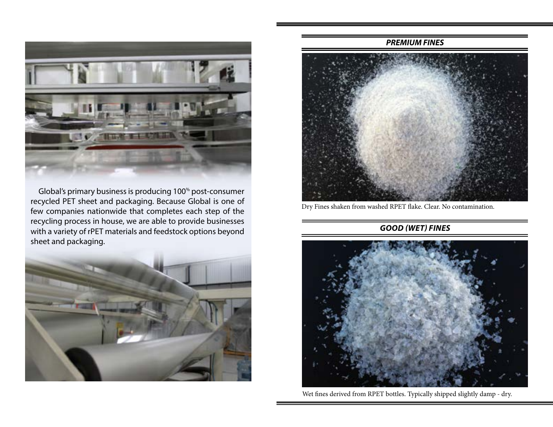

 Global's primary business is producing 100% post-consumer recycled PET sheet and packaging. Because Global is one of few companies nationwide that completes each step of the recycling process in house, we are able to provide businesses with a variety of rPET materials and feedstock options beyond sheet and packaging.



#### *PREMIUM FINES*



Dry Fines shaken from washed RPET flake. Clear. No contamination.

#### *GOOD (WET) FINES*



Wet fines derived from RPET bottles. Typically shipped slightly damp - dry.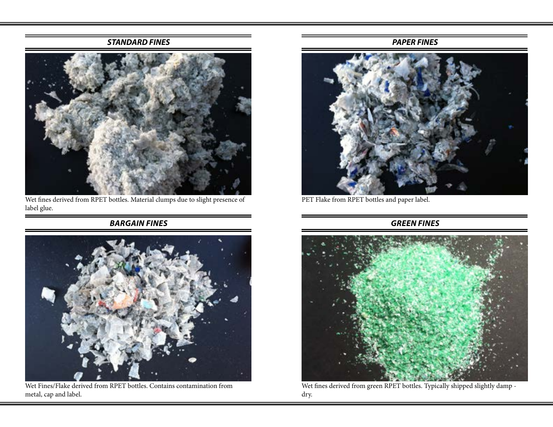#### *STANDARD FINES*



Wet fines derived from RPET bottles. Material clumps due to slight presence of label glue.

# *BARGAIN FINES*



Wet Fines/Flake derived from RPET bottles. Contains contamination from metal, cap and label.

### *PAPER FINES*



PET Flake from RPET bottles and paper label.

# *GREEN FINES*



Wet fines derived from green RPET bottles. Typically shipped slightly damp dry.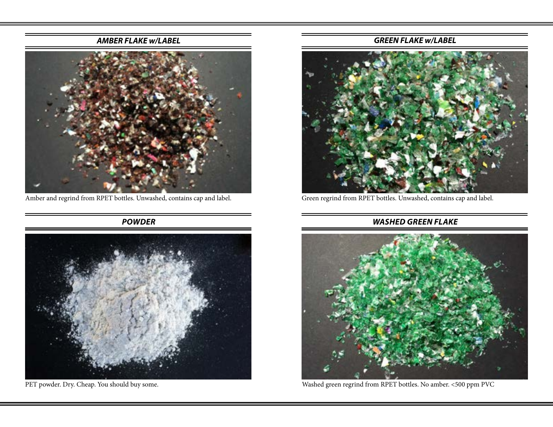## *AMBER FLAKE w/LABEL*



Amber and regrind from RPET bottles. Unwashed, contains cap and label.

*POWDER*



PET powder. Dry. Cheap. You should buy some.

### *GREEN FLAKE w/LABEL*



Green regrind from RPET bottles. Unwashed, contains cap and label.

## *WASHED GREEN FLAKE*



Washed green regrind from RPET bottles. No amber. <500 ppm PVC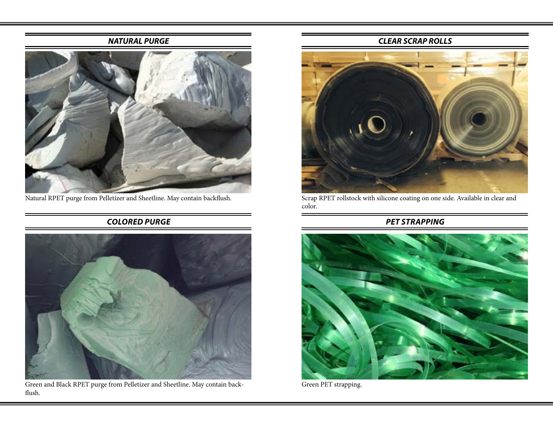### *NATURAL PURGE*



Natural RPET purge from Pelletizer and Sheetline. May contain backflush.

# *COLORED PURGE*



Green and Black RPET purge from Pelletizer and Sheetline. May contain backflush.

### *CLEAR SCRAP ROLLS*



Scrap RPET rollstock with silicone coating on one side. Available in clear and color.

## *PET STRAPPING*



Green PET strapping.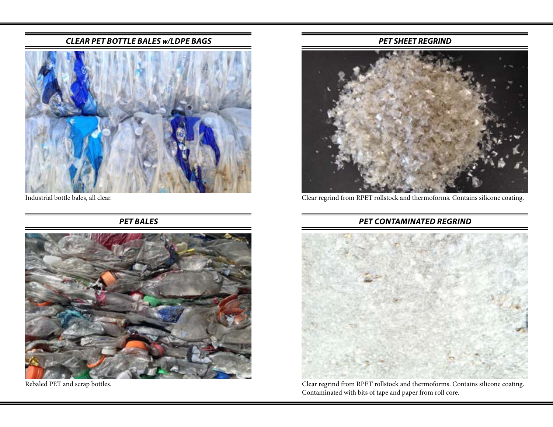#### *CLEAR PET BOTTLE BALES w/LDPE BAGS*



Industrial bottle bales, all clear.

*PET BALES*



Rebaled PET and scrap bottles.

#### *PET SHEET REGRIND*



Clear regrind from RPET rollstock and thermoforms. Contains silicone coating.

## *PET CONTAMINATED REGRIND*



Clear regrind from RPET rollstock and thermoforms. Contains silicone coating. Contaminated with bits of tape and paper from roll core.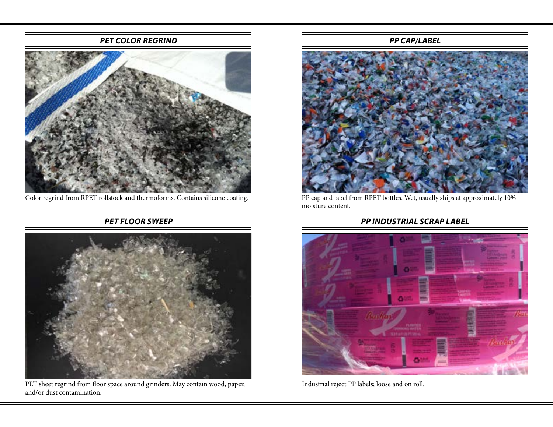#### *PET COLOR REGRIND*



Color regrind from RPET rollstock and thermoforms. Contains silicone coating.

# *PET FLOOR SWEEP*



PET sheet regrind from floor space around grinders. May contain wood, paper, and/or dust contamination.

#### *PP CAP/LABEL*



PP cap and label from RPET bottles. Wet, usually ships at approximately 10% moisture content.

# *PP INDUSTRIAL SCRAP LABEL*



Industrial reject PP labels; loose and on roll.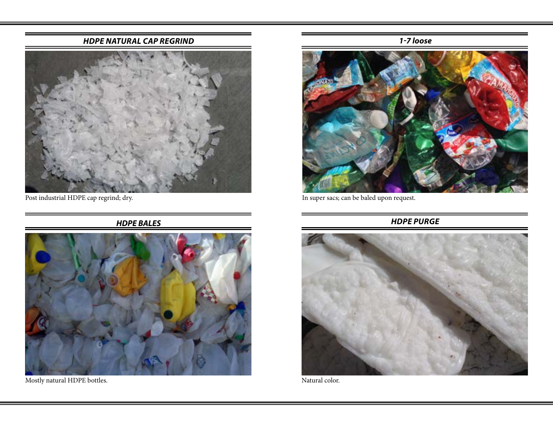### *HDPE NATURAL CAP REGRIND*



Post industrial HDPE cap regrind; dry.

*HDPE BALES*



Mostly natural HDPE bottles.

*1-7 loose*



In super sacs; can be baled upon request.

*HDPE PURGE*



Natural color.